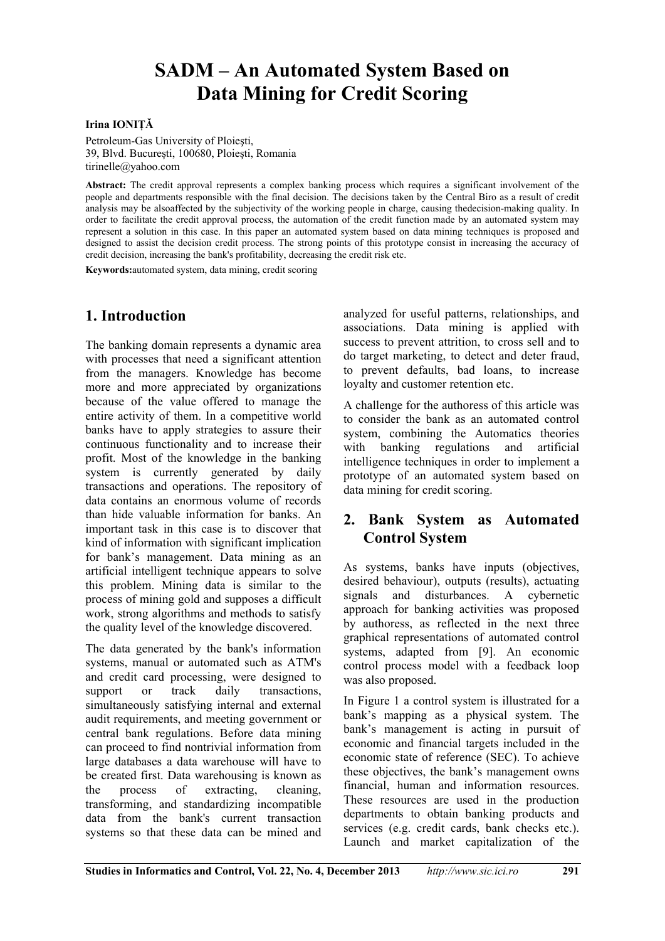# **SADM – An Automated System Based on Data Mining for Credit Scoring**

#### **Irina IONIŢĂ**

Petroleum-Gas University of Ploieşti, 39, Blvd. Bucureşti, 100680, Ploieşti, Romania tirinelle@yahoo.com

**Abstract:** The credit approval represents a complex banking process which requires a significant involvement of the people and departments responsible with the final decision. The decisions taken by the Central Biro as a result of credit analysis may be alsoaffected by the subjectivity of the working people in charge, causing thedecision-making quality. In order to facilitate the credit approval process, the automation of the credit function made by an automated system may represent a solution in this case. In this paper an automated system based on data mining techniques is proposed and designed to assist the decision credit process. The strong points of this prototype consist in increasing the accuracy of credit decision, increasing the bank's profitability, decreasing the credit risk etc.

**Keywords:**automated system, data mining, credit scoring

## **1. Introduction**

The banking domain represents a dynamic area with processes that need a significant attention from the managers. Knowledge has become more and more appreciated by organizations because of the value offered to manage the entire activity of them. In a competitive world banks have to apply strategies to assure their continuous functionality and to increase their profit. Most of the knowledge in the banking system is currently generated by daily transactions and operations. The repository of data contains an enormous volume of records than hide valuable information for banks. An important task in this case is to discover that kind of information with significant implication for bank's management. Data mining as an artificial intelligent technique appears to solve this problem. Mining data is similar to the process of mining gold and supposes a difficult work, strong algorithms and methods to satisfy the quality level of the knowledge discovered.

The data generated by the bank's information systems, manual or automated such as ATM's and credit card processing, were designed to support or track daily transactions, simultaneously satisfying internal and external audit requirements, and meeting government or central bank regulations. Before data mining can proceed to find nontrivial information from large databases a data warehouse will have to be created first. Data warehousing is known as the process of extracting, cleaning, transforming, and standardizing incompatible data from the bank's current transaction systems so that these data can be mined and

analyzed for useful patterns, relationships, and associations. Data mining is applied with success to prevent attrition, to cross sell and to do target marketing, to detect and deter fraud, to prevent defaults, bad loans, to increase loyalty and customer retention etc.

A challenge for the authoress of this article was to consider the bank as an automated control system, combining the Automatics theories with banking regulations and artificial intelligence techniques in order to implement a prototype of an automated system based on data mining for credit scoring.

## **2. Bank System as Automated Control System**

As systems, banks have inputs (objectives, desired behaviour), outputs (results), actuating signals and disturbances. A cybernetic approach for banking activities was proposed by authoress, as reflected in the next three graphical representations of automated control systems, adapted from [9]. An economic control process model with a feedback loop was also proposed.

In Figure 1 a control system is illustrated for a bank's mapping as a physical system. The bank's management is acting in pursuit of economic and financial targets included in the economic state of reference (SEC). To achieve these objectives, the bank's management owns financial, human and information resources. These resources are used in the production departments to obtain banking products and services (e.g. credit cards, bank checks etc.). Launch and market capitalization of the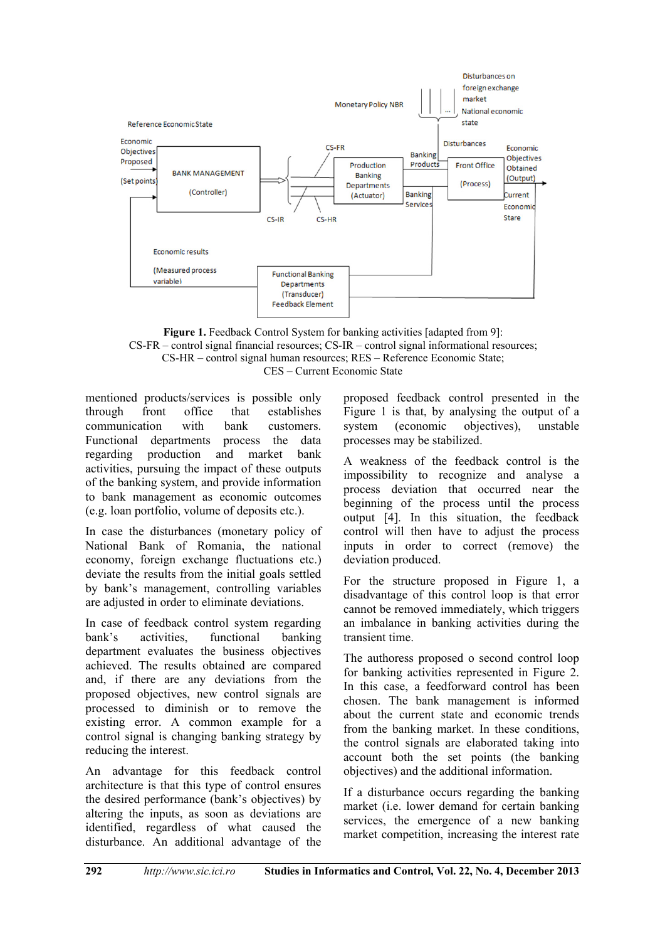

**Figure 1.** Feedback Control System for banking activities [adapted from 9]: CS-FR – control signal financial resources; CS-IR – control signal informational resources; CS-HR – control signal human resources; RES – Reference Economic State; CES – Current Economic State

mentioned products/services is possible only through front office that establishes communication with bank customers. Functional departments process the data regarding production and market bank activities, pursuing the impact of these outputs of the banking system, and provide information to bank management as economic outcomes (e.g. loan portfolio, volume of deposits etc.).

In case the disturbances (monetary policy of National Bank of Romania, the national economy, foreign exchange fluctuations etc.) deviate the results from the initial goals settled by bank's management, controlling variables are adjusted in order to eliminate deviations.

In case of feedback control system regarding bank's activities, functional banking department evaluates the business objectives achieved. The results obtained are compared and, if there are any deviations from the proposed objectives, new control signals are processed to diminish or to remove the existing error. A common example for a control signal is changing banking strategy by reducing the interest.

An advantage for this feedback control architecture is that this type of control ensures the desired performance (bank's objectives) by altering the inputs, as soon as deviations are identified, regardless of what caused the disturbance. An additional advantage of the

proposed feedback control presented in the Figure 1 is that, by analysing the output of a system (economic objectives), unstable processes may be stabilized.

A weakness of the feedback control is the impossibility to recognize and analyse a process deviation that occurred near the beginning of the process until the process output [4]. In this situation, the feedback control will then have to adjust the process inputs in order to correct (remove) the deviation produced.

For the structure proposed in Figure 1, a disadvantage of this control loop is that error cannot be removed immediately, which triggers an imbalance in banking activities during the transient time.

The authoress proposed o second control loop for banking activities represented in Figure 2. In this case, a feedforward control has been chosen. The bank management is informed about the current state and economic trends from the banking market. In these conditions, the control signals are elaborated taking into account both the set points (the banking objectives) and the additional information.

If a disturbance occurs regarding the banking market (i.e. lower demand for certain banking services, the emergence of a new banking market competition, increasing the interest rate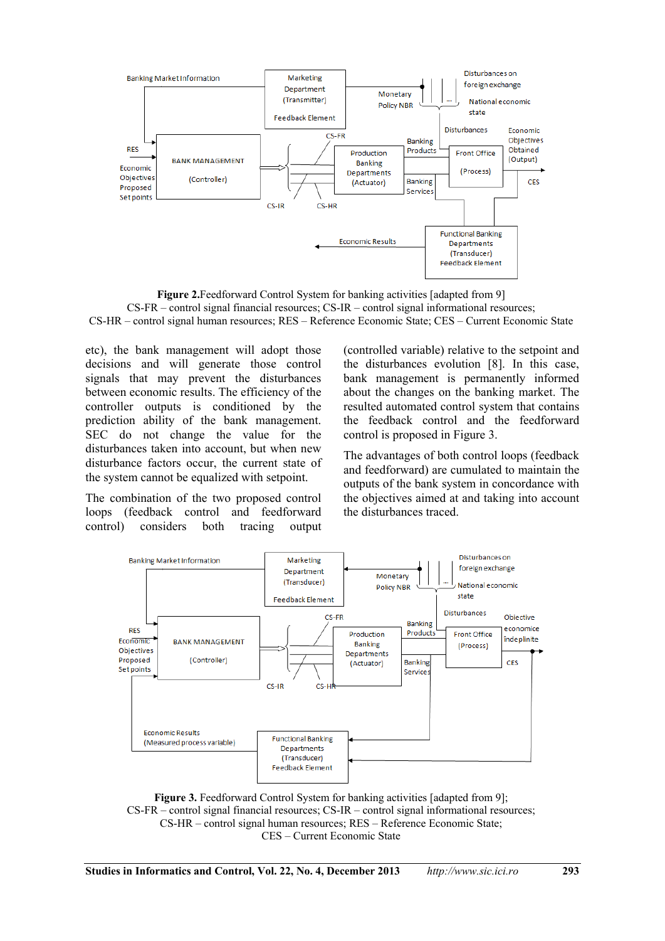

**Figure 2.**Feedforward Control System for banking activities [adapted from 9] CS-FR – control signal financial resources; CS-IR – control signal informational resources; CS-HR – control signal human resources; RES – Reference Economic State; CES – Current Economic State

etc), the bank management will adopt those decisions and will generate those control signals that may prevent the disturbances between economic results. The efficiency of the controller outputs is conditioned by the prediction ability of the bank management. SEC do not change the value for the disturbances taken into account, but when new disturbance factors occur, the current state of the system cannot be equalized with setpoint.

The combination of the two proposed control loops (feedback control and feedforward control) considers both tracing output (controlled variable) relative to the setpoint and the disturbances evolution [8]. In this case, bank management is permanently informed about the changes on the banking market. The resulted automated control system that contains the feedback control and the feedforward control is proposed in Figure 3.

The advantages of both control loops (feedback and feedforward) are cumulated to maintain the outputs of the bank system in concordance with the objectives aimed at and taking into account the disturbances traced.



**Figure 3.** Feedforward Control System for banking activities [adapted from 9]; CS-FR – control signal financial resources; CS-IR – control signal informational resources; CS-HR – control signal human resources; RES – Reference Economic State; CES – Current Economic State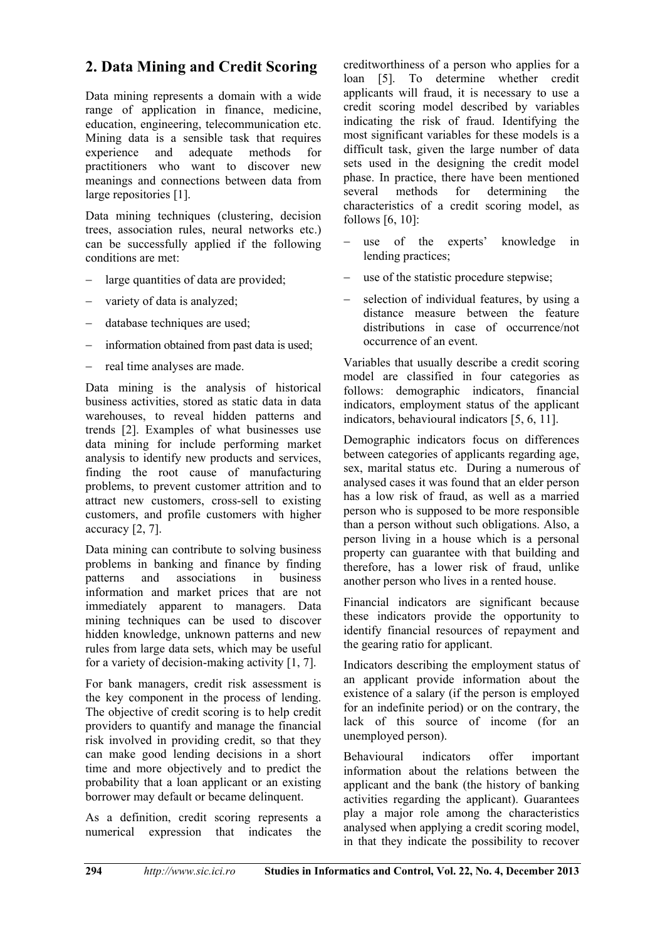# **2. Data Mining and Credit Scoring**

Data mining represents a domain with a wide range of application in finance, medicine, education, engineering, telecommunication etc. Mining data is a sensible task that requires experience and adequate methods for practitioners who want to discover new meanings and connections between data from large repositories [1].

Data mining techniques (clustering, decision trees, association rules, neural networks etc.) can be successfully applied if the following conditions are met:

- large quantities of data are provided;
- variety of data is analyzed;
- database techniques are used;
- information obtained from past data is used;
- $-$  real time analyses are made.

Data mining is the analysis of historical business activities, stored as static data in data warehouses, to reveal hidden patterns and trends [2]. Examples of what businesses use data mining for include performing market analysis to identify new products and services, finding the root cause of manufacturing problems, to prevent customer attrition and to attract new customers, cross-sell to existing customers, and profile customers with higher accuracy [2, 7].

Data mining can contribute to solving business problems in banking and finance by finding patterns and associations in business information and market prices that are not immediately apparent to managers. Data mining techniques can be used to discover hidden knowledge, unknown patterns and new rules from large data sets, which may be useful for a variety of decision-making activity [1, 7].

For bank managers, credit risk assessment is the key component in the process of lending. The objective of credit scoring is to help credit providers to quantify and manage the financial risk involved in providing credit, so that they can make good lending decisions in a short time and more objectively and to predict the probability that a loan applicant or an existing borrower may default or became delinquent.

As a definition, credit scoring represents a numerical expression that indicates the creditworthiness of a person who applies for a loan [5]. To determine whether credit applicants will fraud, it is necessary to use a credit scoring model described by variables indicating the risk of fraud. Identifying the most significant variables for these models is a difficult task, given the large number of data sets used in the designing the credit model phase. In practice, there have been mentioned several methods for determining the characteristics of a credit scoring model, as follows [6, 10]:

- use of the experts' knowledge in lending practices;
- use of the statistic procedure stepwise;
- selection of individual features, by using a distance measure between the feature distributions in case of occurrence/not occurrence of an event.

Variables that usually describe a credit scoring model are classified in four categories as follows: demographic indicators, financial indicators, employment status of the applicant indicators, behavioural indicators [5, 6, 11].

Demographic indicators focus on differences between categories of applicants regarding age, sex, marital status etc. During a numerous of analysed cases it was found that an elder person has a low risk of fraud, as well as a married person who is supposed to be more responsible than a person without such obligations. Also, a person living in a house which is a personal property can guarantee with that building and therefore, has a lower risk of fraud, unlike another person who lives in a rented house.

Financial indicators are significant because these indicators provide the opportunity to identify financial resources of repayment and the gearing ratio for applicant.

Indicators describing the employment status of an applicant provide information about the existence of a salary (if the person is employed for an indefinite period) or on the contrary, the lack of this source of income (for an unemployed person).

Behavioural indicators offer important information about the relations between the applicant and the bank (the history of banking activities regarding the applicant). Guarantees play a major role among the characteristics analysed when applying a credit scoring model, in that they indicate the possibility to recover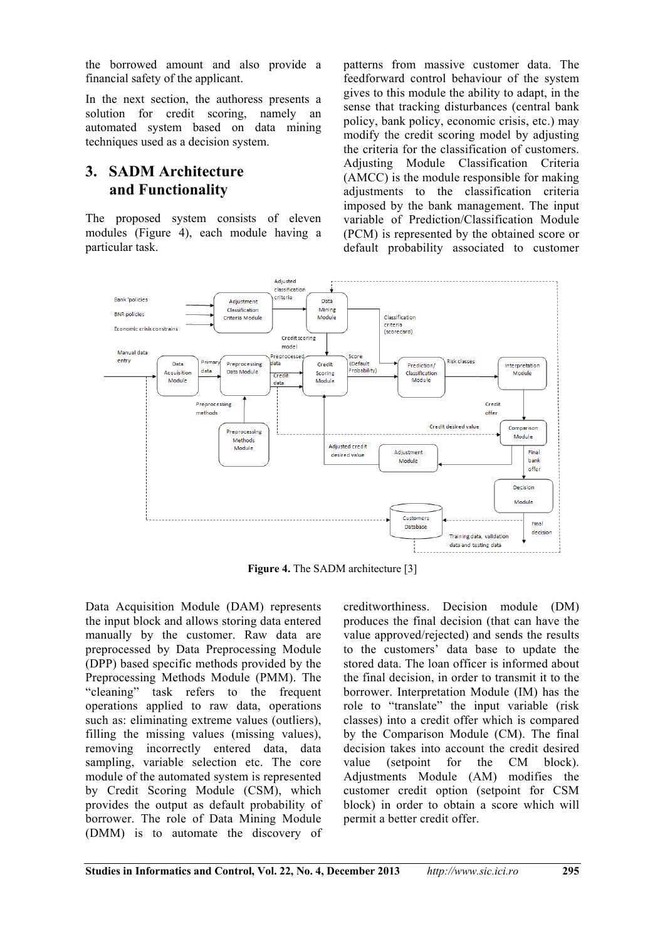the borrowed amount and also provide a financial safety of the applicant.

In the next section, the authoress presents a solution for credit scoring, namely an automated system based on data mining techniques used as a decision system.

#### **3. SADM Architecture and Functionality**

The proposed system consists of eleven modules (Figure 4), each module having a particular task.

patterns from massive customer data. The feedforward control behaviour of the system gives to this module the ability to adapt, in the sense that tracking disturbances (central bank policy, bank policy, economic crisis, etc.) may modify the credit scoring model by adjusting the criteria for the classification of customers. Adjusting Module Classification Criteria (AMCC) is the module responsible for making adjustments to the classification criteria imposed by the bank management. The input variable of Prediction/Classification Module (PCM) is represented by the obtained score or default probability associated to customer



**Figure 4.** The SADM architecture [3]

Data Acquisition Module (DAM) represents the input block and allows storing data entered manually by the customer. Raw data are preprocessed by Data Preprocessing Module (DPP) based specific methods provided by the Preprocessing Methods Module (PMM). The "cleaning" task refers to the frequent operations applied to raw data, operations such as: eliminating extreme values (outliers), filling the missing values (missing values), removing incorrectly entered data, data sampling, variable selection etc. The core module of the automated system is represented by Credit Scoring Module (CSM), which provides the output as default probability of borrower. The role of Data Mining Module (DMM) is to automate the discovery of creditworthiness. Decision module (DM) produces the final decision (that can have the value approved/rejected) and sends the results to the customers' data base to update the stored data. The loan officer is informed about the final decision, in order to transmit it to the borrower. Interpretation Module (IM) has the role to "translate" the input variable (risk classes) into a credit offer which is compared by the Comparison Module (CM). The final decision takes into account the credit desired value (setpoint for the CM block). Adjustments Module (AM) modifies the customer credit option (setpoint for CSM block) in order to obtain a score which will permit a better credit offer.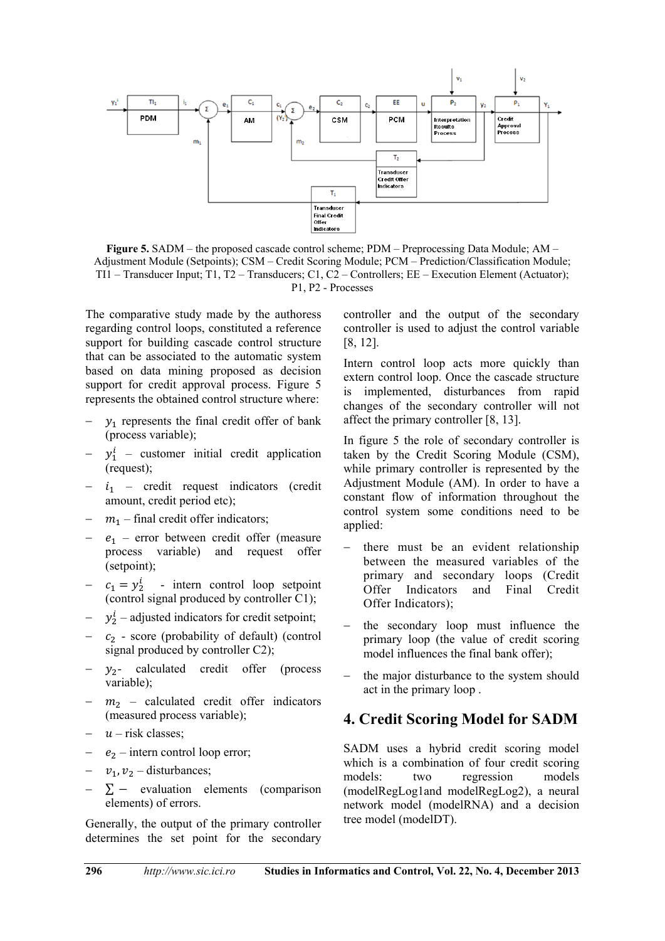

**Figure 5.** SADM – the proposed cascade control scheme; PDM – Preprocessing Data Module; AM – Adjustment Module (Setpoints); CSM – Credit Scoring Module; PCM – Prediction/Classification Module; TI1 – Transducer Input; T1, T2 – Transducers; C1, C2 – Controllers; EE – Execution Element (Actuator); P1, P2 - Processes

The comparative study made by the authoress regarding control loops, constituted a reference support for building cascade control structure that can be associated to the automatic system based on data mining proposed as decision support for credit approval process. Figure 5 represents the obtained control structure where:

- $y_1$  represents the final credit offer of bank (process variable);
- $y_1^i$  customer initial credit application (request);
- $i_1$  credit request indicators (credit amount, credit period etc);
- $m_1$  final credit offer indicators;
- $e_1$  error between credit offer (measure process variable) and request offer (setpoint);
- $-c_1 = y_2^i$  intern control loop setpoint (control signal produced by controller C1);
- $y_2^i$  adjusted indicators for credit setpoint;
- $c<sub>2</sub>$  score (probability of default) (control signal produced by controller C2);
- $y_2$  calculated credit offer (process variable);
- $m_2$  calculated credit offer indicators (measured process variable);
- $u$  risk classes:
- $e_2$  intern control loop error;
- $v_1$ ,  $v_2$  disturbances;
- $\Sigma$  evaluation elements (comparison elements) of errors.

Generally, the output of the primary controller determines the set point for the secondary controller and the output of the secondary controller is used to adjust the control variable [8, 12].

Intern control loop acts more quickly than extern control loop. Once the cascade structure is implemented, disturbances from rapid changes of the secondary controller will not affect the primary controller [8, 13].

In figure 5 the role of secondary controller is taken by the Credit Scoring Module (CSM), while primary controller is represented by the Adjustment Module (AM). In order to have a constant flow of information throughout the control system some conditions need to be applied:

- $-$  there must be an evident relationship between the measured variables of the primary and secondary loops (Credit Offer Indicators and Final Credit Offer Indicators);
- the secondary loop must influence the primary loop (the value of credit scoring model influences the final bank offer);
- the major disturbance to the system should act in the primary loop .

# **4. Credit Scoring Model for SADM**

SADM uses a hybrid credit scoring model which is a combination of four credit scoring models: two regression models (modelRegLog1and modelRegLog2), a neural network model (modelRNA) and a decision tree model (modelDT).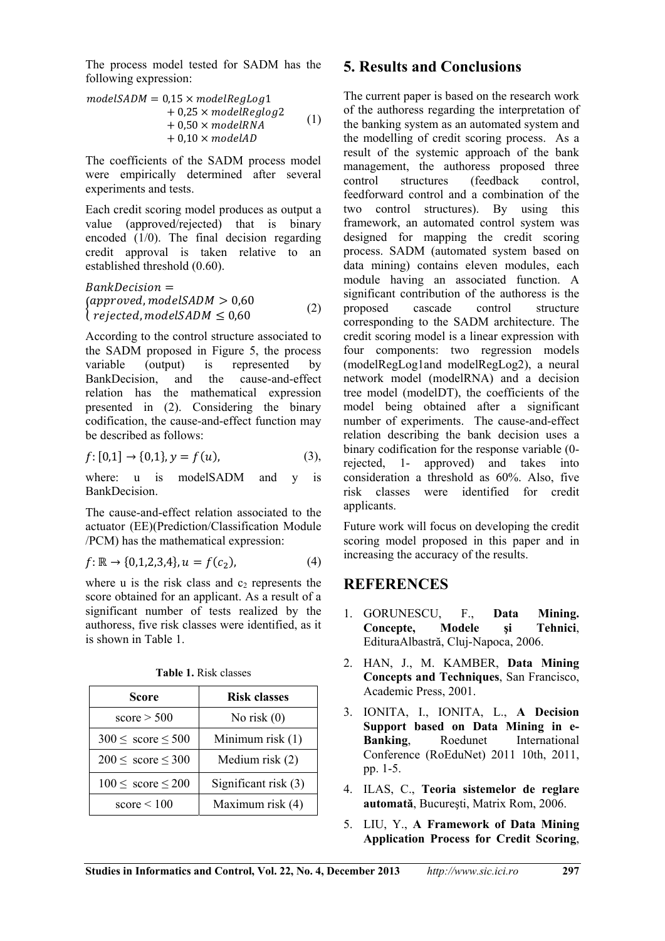The process model tested for SADM has the following expression:

$$
modelSADM = 0.15 \times modelRegLog1+ 0.25 \times modelReglog2+ 0.50 \times modelRNA+ 0.10 \times modelAD
$$
 (1)

The coefficients of the SADM process model were empirically determined after several experiments and tests.

Each credit scoring model produces as output a value (approved/rejected) that is binary encoded (1/0). The final decision regarding credit approval is taken relative to an established threshold (0.60).

$$
BankDecision =(approved, modelSADM > 0,60(rejected, modelsADM  $\leq 0,60$  (2)
$$

According to the control structure associated to the SADM proposed in Figure 5, the process variable (output) is represented by BankDecision, and the cause-and-effect relation has the mathematical expression presented in (2). Considering the binary codification, the cause-and-effect function may be described as follows:

$$
f: [0,1] \to \{0,1\}, y = f(u), \tag{3},
$$

where: u is modelSADM and v is **BankDecision** 

The cause-and-effect relation associated to the actuator (EE)(Prediction/Classification Module /PCM) has the mathematical expression:

$$
f: \mathbb{R} \to \{0, 1, 2, 3, 4\}, u = f(c_2), \tag{4}
$$

where u is the risk class and  $c_2$  represents the score obtained for an applicant. As a result of a significant number of tests realized by the authoress, five risk classes were identified, as it is shown in Table 1.

| <b>Score</b>                     | <b>Risk classes</b>  |
|----------------------------------|----------------------|
| score $>$ 500                    | No risk $(0)$        |
| $300 \leq \text{score} \leq 500$ | Minimum risk (1)     |
| $200 \leq \text{score} \leq 300$ | Medium risk $(2)$    |
| $100 \leq \text{score} \leq 200$ | Significant risk (3) |
| score $\leq 100$                 | Maximum risk (4)     |

**Table 1.** Risk classes

#### **5. Results and Conclusions**

The current paper is based on the research work of the authoress regarding the interpretation of the banking system as an automated system and the modelling of credit scoring process. As a result of the systemic approach of the bank management, the authoress proposed three control structures (feedback control, feedforward control and a combination of the two control structures). By using this framework, an automated control system was designed for mapping the credit scoring process. SADM (automated system based on data mining) contains eleven modules, each module having an associated function. A significant contribution of the authoress is the proposed cascade control structure corresponding to the SADM architecture. The credit scoring model is a linear expression with four components: two regression models (modelRegLog1and modelRegLog2), a neural network model (modelRNA) and a decision tree model (modelDT), the coefficients of the model being obtained after a significant number of experiments. The cause-and-effect relation describing the bank decision uses a binary codification for the response variable (0 rejected, 1- approved) and takes into consideration a threshold as 60%. Also, five risk classes were identified for credit applicants.

Future work will focus on developing the credit scoring model proposed in this paper and in increasing the accuracy of the results.

#### **REFERENCES**

- 1. GORUNESCU, F., **Data Mining. Concepte, Modele şi Tehnici**, EdituraAlbastră, Cluj-Napoca, 2006.
- 2. HAN, J., M. KAMBER, **Data Mining Concepts and Techniques**, San Francisco, Academic Press, 2001.
- 3. IONITA, I., IONITA, L., **A Decision Support based on Data Mining in e-Banking**, Roedunet International Conference (RoEduNet) 2011 10th, 2011, pp. 1-5.
- 4. ILAS, C., **Teoria sistemelor de reglare automată**, Bucureşti, Matrix Rom, 2006.
- 5. LIU, Y., **A Framework of Data Mining Application Process for Credit Scoring**,